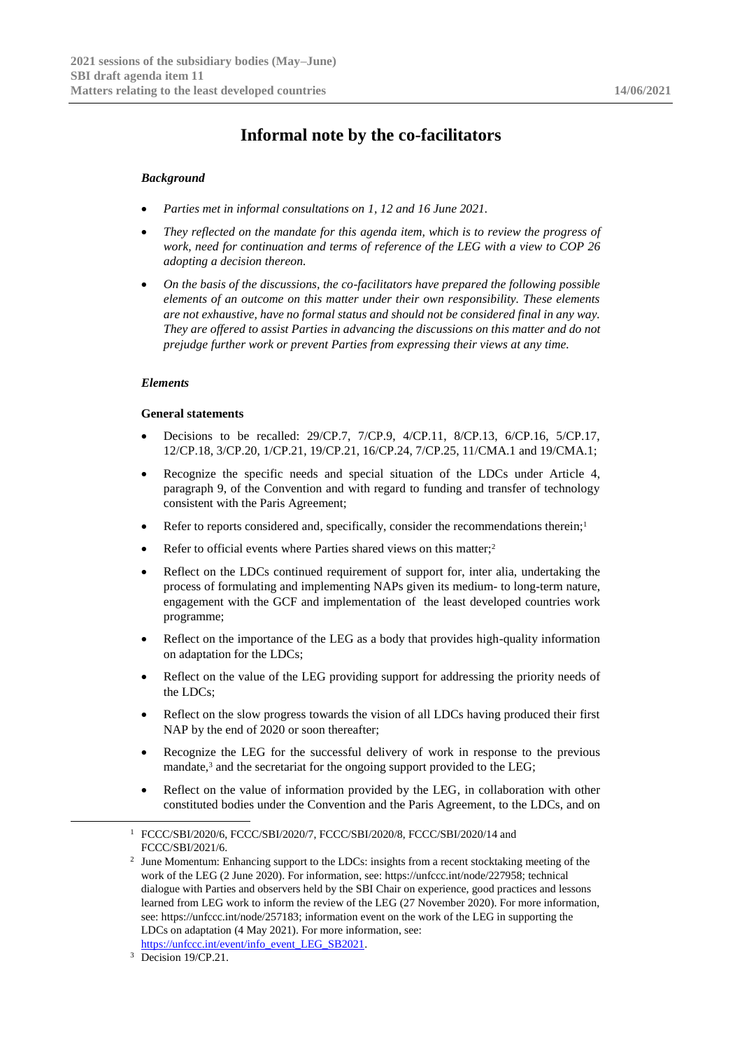# **Informal note by the co-facilitators**

### *Background*

- *Parties met in informal consultations on 1, 12 and 16 June 2021.*
- *They reflected on the mandate for this agenda item, which is to review the progress of work, need for continuation and terms of reference of the LEG with a view to COP 26 adopting a decision thereon.*
- *On the basis of the discussions, the co-facilitators have prepared the following possible elements of an outcome on this matter under their own responsibility. These elements are not exhaustive, have no formal status and should not be considered final in any way. They are offered to assist Parties in advancing the discussions on this matter and do not prejudge further work or prevent Parties from expressing their views at any time.*

#### *Elements*

#### **General statements**

- Decisions to be recalled: 29/CP.7, 7/CP.9, 4/CP.11, 8/CP.13, 6/CP.16, 5/CP.17, 12/CP.18, 3/CP.20, 1/CP.21, 19/CP.21, 16/CP.24, 7/CP.25, 11/CMA.1 and 19/CMA.1;
- Recognize the specific needs and special situation of the LDCs under Article 4, paragraph 9, of the Convention and with regard to funding and transfer of technology consistent with the Paris Agreement;
- Refer to reports considered and, specifically, consider the recommendations therein;<sup>1</sup>
- Refer to official events where Parties shared views on this matter;<sup>2</sup>
- Reflect on the LDCs continued requirement of support for, inter alia, undertaking the process of formulating and implementing NAPs given its medium- to long-term nature, engagement with the GCF and implementation of the least developed countries work programme;
- Reflect on the importance of the LEG as a body that provides high-quality information on adaptation for the LDCs;
- Reflect on the value of the LEG providing support for addressing the priority needs of the LDCs;
- Reflect on the slow progress towards the vision of all LDCs having produced their first NAP by the end of 2020 or soon thereafter;
- Recognize the LEG for the successful delivery of work in response to the previous mandate,<sup>3</sup> and the secretariat for the ongoing support provided to the LEG;
- Reflect on the value of information provided by the LEG, in collaboration with other constituted bodies under the Convention and the Paris Agreement, to the LDCs, and on

-

<sup>1</sup> FCCC/SBI/2020/6, FCCC/SBI/2020/7, FCCC/SBI/2020/8, FCCC/SBI/2020/14 and FCCC/SBI/2021/6.

<sup>&</sup>lt;sup>2</sup> June Momentum: Enhancing support to the LDCs: insights from a recent stocktaking meeting of the work of the LEG (2 June 2020). For information, see: https://unfccc.int/node/227958; technical dialogue with Parties and observers held by the SBI Chair on experience, good practices and lessons learned from LEG work to inform the review of the LEG (27 November 2020). For more information, see: https://unfccc.int/node/257183; information event on the work of the LEG in supporting the LDCs on adaptation (4 May 2021). For more information, see:

[https://unfccc.int/event/info\\_event\\_LEG\\_SB2021.](https://unfccc.int/event/info_event_LEG_SB2021)

<sup>&</sup>lt;sup>3</sup> Decision 19/CP.21.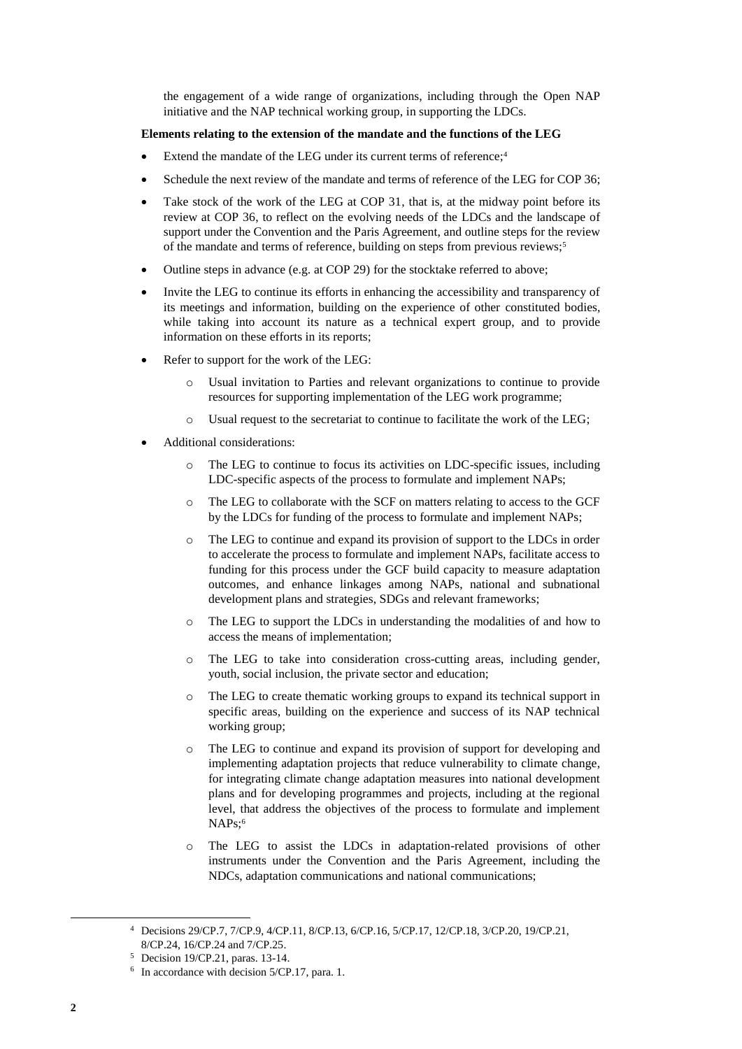the engagement of a wide range of organizations, including through the Open NAP initiative and the NAP technical working group, in supporting the LDCs.

## **Elements relating to the extension of the mandate and the functions of the LEG**

- Extend the mandate of the LEG under its current terms of reference;<sup>4</sup>
- Schedule the next review of the mandate and terms of reference of the LEG for COP 36;
- Take stock of the work of the LEG at COP 31, that is, at the midway point before its review at COP 36, to reflect on the evolving needs of the LDCs and the landscape of support under the Convention and the Paris Agreement, and outline steps for the review of the mandate and terms of reference, building on steps from previous reviews;<sup>5</sup>
- Outline steps in advance (e.g. at COP 29) for the stocktake referred to above;
- Invite the LEG to continue its efforts in enhancing the accessibility and transparency of its meetings and information, building on the experience of other constituted bodies, while taking into account its nature as a technical expert group, and to provide information on these efforts in its reports;
- Refer to support for the work of the LEG:
	- o Usual invitation to Parties and relevant organizations to continue to provide resources for supporting implementation of the LEG work programme;
	- o Usual request to the secretariat to continue to facilitate the work of the LEG;
- Additional considerations:
	- The LEG to continue to focus its activities on LDC-specific issues, including LDC-specific aspects of the process to formulate and implement NAPs;
	- o The LEG to collaborate with the SCF on matters relating to access to the GCF by the LDCs for funding of the process to formulate and implement NAPs;
	- o The LEG to continue and expand its provision of support to the LDCs in order to accelerate the process to formulate and implement NAPs, facilitate access to funding for this process under the GCF build capacity to measure adaptation outcomes, and enhance linkages among NAPs, national and subnational development plans and strategies, SDGs and relevant frameworks;
	- o The LEG to support the LDCs in understanding the modalities of and how to access the means of implementation;
	- o The LEG to take into consideration cross-cutting areas, including gender, youth, social inclusion, the private sector and education;
	- o The LEG to create thematic working groups to expand its technical support in specific areas, building on the experience and success of its NAP technical working group;
	- o The LEG to continue and expand its provision of support for developing and implementing adaptation projects that reduce vulnerability to climate change, for integrating climate change adaptation measures into national development plans and for developing programmes and projects, including at the regional level, that address the objectives of the process to formulate and implement NAPs;<sup>6</sup>
	- o The LEG to assist the LDCs in adaptation-related provisions of other instruments under the Convention and the Paris Agreement, including the NDCs, adaptation communications and national communications;

-

<sup>4</sup> Decisions 29/CP.7, 7/CP.9, 4/CP.11, 8/CP.13, 6/CP.16, 5/CP.17, 12/CP.18, 3/CP.20, 19/CP.21, 8/CP.24, 16/CP.24 and 7/CP.25.

<sup>5</sup> Decision 19/CP.21, paras. 13-14.

<sup>6</sup> In accordance with decision 5/CP.17, para. 1.